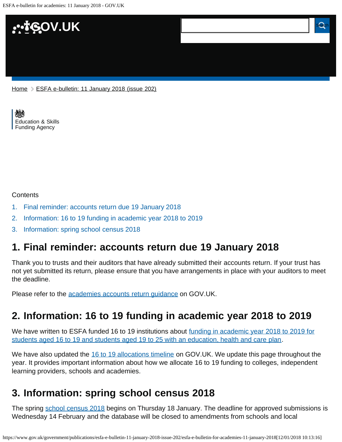

[Education & Skills](https://www.gov.uk/government/organisations/education-and-skills-funding-agency)  [Funding Agency](https://www.gov.uk/government/organisations/education-and-skills-funding-agency)

#### **Contents**

- [1.](#page-0-0) [Final reminder: accounts return due 19 January 2018](#page-0-0)
- [2.](#page-0-1) [Information: 16 to 19 funding in academic year 2018 to 2019](#page-0-1)
- [3.](#page-0-2) [Information: spring school census 2018](#page-0-2)

## <span id="page-0-0"></span>**1. Final reminder: accounts return due 19 January 2018**

Thank you to trusts and their auditors that have already submitted their accounts return. If your trust has not yet submitted its return, please ensure that you have arrangements in place with your auditors to meet the deadline.

Please refer to the **academies accounts return guidance** on GOV.UK.

# <span id="page-0-1"></span>**2. Information: 16 to 19 funding in academic year 2018 to 2019**

We have written to ESFA funded 16 to 19 institutions about [funding in academic year 2018 to 2019 for](https://www.gov.uk/government/publications/16-to-19-funding-funding-for-academic-year-2018-to-2019) [students aged 16 to 19 and students aged 19 to 25 with an education, health and care plan](https://www.gov.uk/government/publications/16-to-19-funding-funding-for-academic-year-2018-to-2019).

We have also updated the [16 to 19 allocations timeline](https://www.gov.uk/guidance/16-to-19-education-funding-allocations) on GOV.UK. We update this page throughout the year. It provides important information about how we allocate 16 to 19 funding to colleges, independent learning providers, schools and academies.

# <span id="page-0-2"></span>**3. Information: spring school census 2018**

The spring [school census 2018](https://www.gov.uk/guidance/school-census) begins on Thursday 18 January. The deadline for approved submissions is Wednesday 14 February and the database will be closed to amendments from schools and local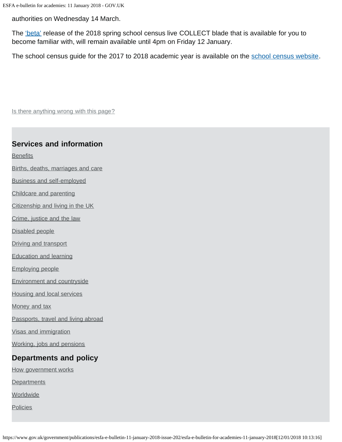authorities on Wednesday 14 March.

The *'beta'* release of the 2018 spring school census live COLLECT blade that is available for you to become familiar with, will remain available until 4pm on Friday 12 January.

The school census guide for the 2017 to 2018 academic year is available on the [school census website](https://www.gov.uk/guidance/school-census).

Is there anything wrong with this page?

#### **Services and information**

**[Benefits](https://www.gov.uk/browse/benefits)** 

- [Births, deaths, marriages and care](https://www.gov.uk/browse/births-deaths-marriages)
- [Business and self-employed](https://www.gov.uk/browse/business)
- [Childcare and parenting](https://www.gov.uk/browse/childcare-parenting)
- [Citizenship and living in the UK](https://www.gov.uk/browse/citizenship)
- [Crime, justice and the law](https://www.gov.uk/browse/justice)
- [Disabled people](https://www.gov.uk/browse/disabilities)
- [Driving and transport](https://www.gov.uk/browse/driving)
- [Education and learning](https://www.gov.uk/browse/education)
- [Employing people](https://www.gov.uk/browse/employing-people)
- [Environment and countryside](https://www.gov.uk/browse/environment-countryside)
- [Housing and local services](https://www.gov.uk/browse/housing-local-services)

[Money and tax](https://www.gov.uk/browse/tax)

[Passports, travel and living abroad](https://www.gov.uk/browse/abroad)

[Visas and immigration](https://www.gov.uk/browse/visas-immigration)

[Working, jobs and pensions](https://www.gov.uk/browse/working)

### **Departments and policy**

[How government works](https://www.gov.uk/government/how-government-works)

**[Departments](https://www.gov.uk/government/organisations)** 

**[Worldwide](https://www.gov.uk/world)** 

**[Policies](https://www.gov.uk/government/policies)**